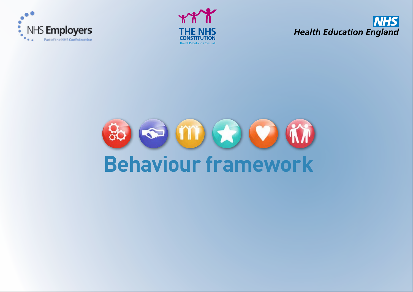





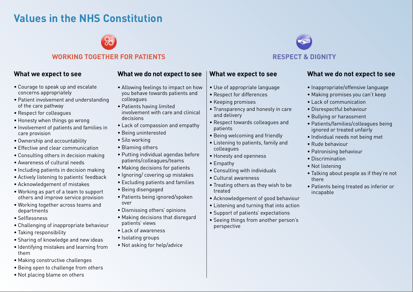# **Values in the NHS Constitution**

### **WORKING TOGETHER FOR PATIENTS RESPECT & DIGNITY**

#### **What we expect to see**

- Courage to speak up and escalate concerns appropriately
- Patient involvement and understanding of the care pathway
- Respect for colleagues
- Honesty when things go wrong
- Involvement of patients and families in care provision
- Ownership and accountability
- Effective and clear communication
- Consulting others in decision making
- Awareness of cultural needs
- Including patients in decision making
- Actively listening to patients' feedback
- Acknowledgement of mistakes
- Working as part of a team to support others and improve service provision
- Working together across teams and departments
- Selflessness
- Challenging of inappropriate behaviour
- Taking responsibility
- Sharing of knowledge and new ideas
- Identifying mistakes and learning from them
- Making constructive challenges
- Being open to challenge from others
- Not placing blame on others

#### **What we do not expect to see**

- Allowing feelings to impact on how you behave towards patients and colleagues
- Patients having limited involvement with care and clinical decisions
- Lack of compassion and empathy
- Being uninterested
- Silo working
- Blaming others
- Putting individual agendas before patients/colleagues/teams
- Making decisions for patients
- Ignoring/ covering up mistakes
- Excluding patients and families
- Being disengaged
- Patients being ignored/spoken over
- Dismissing others' opinions
- Making decisions that disregard patients' views
- Lack of awareness
- Isolating groups
- Not asking for help/advice

## **What we expect to see**

- Use of appropriate language
- Respect for differences
- Keeping promises
- Transparency and honesty in care and delivery
- Respect towards colleagues and patients
- Being welcoming and friendly
- Listening to patients, family and colleagues
- Honesty and openness
- Empathy
- Consulting with individuals
- Cultural awareness
- Treating others as they wish to be treated
- Acknowledgement of good behaviour
- Listening and turning that into action
- Support of patients' expectations
- Seeing things from another person's perspective

# **What we do not expect to see**

- Inappropriate/offensive language
- Making promises you can't keep
- Lack of communication
- Disrespectful behaviour
- Bullying or harassment
- Patients/families/colleagues being ignored or treated unfairly
- Individual needs not being met
- Rude behaviour
- Patronising behaviour
- Discrimination
- Not listening
- Talking about people as if they're not there
- Patients being treated as inferior or incapable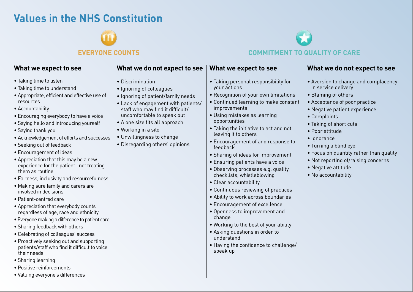# **Values in the NHS Constitution**

#### **What we expect to see**

- Taking time to listen
- Taking time to understand
- Appropriate, efficient and effective use of resources
- Accountability
- Encouraging everybody to have a voice
- Saying hello and introducing yourself
- Saying thank you
- Acknowledgement of efforts and successes
- Seeking out of feedback
- Encouragement of ideas
- Appreciation that this may be a new experience for the patient –not treating them as routine
- Fairness, inclusivity and resourcefulness
- Making sure family and carers are involved in decisions
- Patient-centred care
- Appreciation that everybody counts regardless of age, race and ethnicity
- Everyone making a difference to patient care
- Sharing feedback with others
- Celebrating of colleagues' success
- Proactively seeking out and supporting patients/staff who find it difficult to voice their needs
- Sharing learning
- Positive reinforcements
- Valuing everyone's differences

## **What we do not expect to see**

- Discrimination
- Ignoring of colleagues
- Ignoring of patient/family needs
- Lack of engagement with patients/ staff who may find it difficult/ uncomfortable to speak out
- A one size fits all approach
- Working in a silo
- Unwillingness to change
- Disregarding others' opinions

**EVERYONE COUNTS COMMITMENT TO QUALITY OF CARE**

### **What we expect to see**

- Taking personal responsibility for your actions
- Recognition of your own limitations
- Continued learning to make constant improvements
- Using mistakes as learning opportunities
- Taking the initiative to act and not leaving it to others
- Encouragement of and response to feedback
- Sharing of ideas for improvement
- Ensuring patients have a voice
- Observing processes e.g. quality, checklists, whistleblowing
- Clear accountability
- Continuous reviewing of practices
- Ability to work across boundaries
- Encouragement of excellence
- Openness to improvement and change
- Working to the best of your ability
- Asking questions in order to understand
- Having the confidence to challenge/ speak up

### **What we do not expect to see**

- Aversion to change and complacency in service delivery
- Blaming of others
- Acceptance of poor practice
- Negative patient experience
- Complaints
- Taking of short cuts
- Poor attitude
- Ignorance
- Turning a blind eye
- Focus on quantity rather than quality
- Not reporting of/raising concerns
- Negative attitude
- No accountability